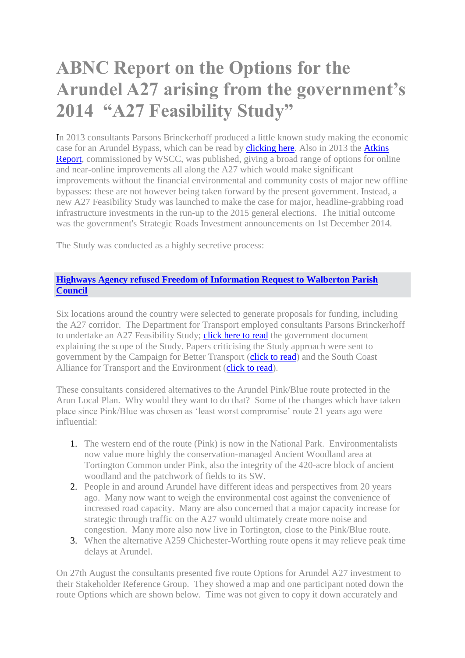## **ABNC Report on the Options for the Arundel A27 arising from the government's 2014 "A27 Feasibility Study"**

In 2013 consultants Parsons Brinckerhoff produced a little known study making the economic case for an Arundel Bypass, which can be read by **clicking here**. Also in 2013 the **Atkins** [Report,](http://www.westsussex.gov.uk/idoc.ashx?docid=3b93b717-019b-48d5-a1c0-47a6424ce309&version=-1) commissioned by WSCC, was published, giving a broad range of options for online and near-online improvements all along the A27 which would make significant improvements without the financial environmental and community costs of major new offline bypasses: these are not however being taken forward by the present government. Instead, a new A27 Feasibility Study was launched to make the case for major, headline-grabbing road infrastructure investments in the run-up to the 2015 general elections. The initial outcome was the government's Strategic Roads Investment announcements on 1st December 2014.

The Study was conducted as a highly secretive process:

## **[Highways Agency refused Freedom of Information Request to Walberton Parish](http://arundelneighbourhood.com/uploads/files/mr_roddham_reply_signed.pdf)  [Council](http://arundelneighbourhood.com/uploads/files/mr_roddham_reply_signed.pdf)**

Six locations around the country were selected to generate proposals for funding, including the A27 corridor. The Department for Transport employed consultants Parsons Brinckerhoff to undertake an A27 Feasibility Study; [click here to read](http://arundelneighbourhood.com/uploads/files/a27-feasibility-study-scope.pdf) the government document explaining the scope of the Study. Papers criticising the Study approach were sent to government by the Campaign for Better Transport [\(click to read\)](http://arundelneighbourhood.com/uploads/files/cfbt-a27-feasability-study-scoping-response-feb14.pdf) and the South Coast Alliance for Transport and the Environment [\(click to read\)](http://arundelneighbourhood.com/uploads/files/scate-a27-corridor-feasibility-study-response-to-dft.pdf).

These consultants considered alternatives to the Arundel Pink/Blue route protected in the Arun Local Plan. Why would they want to do that? Some of the changes which have taken place since Pink/Blue was chosen as 'least worst compromise' route 21 years ago were influential:

- 1. The western end of the route (Pink) is now in the National Park. Environmentalists now value more highly the conservation-managed Ancient Woodland area at Tortington Common under Pink, also the integrity of the 420-acre block of ancient woodland and the patchwork of fields to its SW.
- 2. People in and around Arundel have different ideas and perspectives from 20 years ago. Many now want to weigh the environmental cost against the convenience of increased road capacity. Many are also concerned that a major capacity increase for strategic through traffic on the A27 would ultimately create more noise and congestion. Many more also now live in Tortington, close to the Pink/Blue route.
- 3. When the alternative A259 Chichester-Worthing route opens it may relieve peak time delays at Arundel.

On 27th August the consultants presented five route Options for Arundel A27 investment to their Stakeholder Reference Group. They showed a map and one participant noted down the route Options which are shown below. Time was not given to copy it down accurately and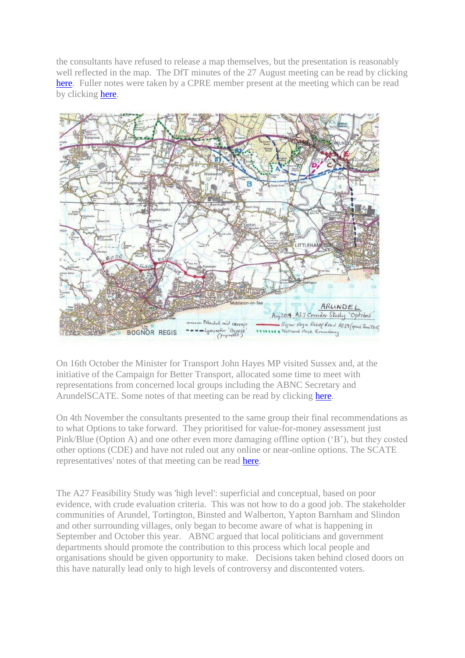the consultants have refused to release a map themselves, but the presentation is reasonably well reflected in the map. The DfT minutes of the 27 August meeting can be read by clicking [here.](http://arundelneighbourhood.com/uploads/files/a27_feasibility_study_reference_group_meeting_27th_of_august_minutes_rev_1.pdf) Fuller notes were taken by a CPRE member present at the meeting which can be read by clicking [here.](http://arundelneighbourhood.com/uploads/files/a27_feasibility_study_reference_group_27aug14_-_cpre_minutes.pdf)



On 16th October the Minister for Transport John Hayes MP visited Sussex and, at the initiative of the Campaign for Better Transport, allocated some time to meet with representations from concerned local groups including the ABNC Secretary and ArundelSCATE. Some notes of that meeting can be read by clicking [here.](http://arundelneighbourhood.com/uploads/files/a27_meeting_with_minister_for_transport_16oct14.pdf)

On 4th November the consultants presented to the same group their final recommendations as to what Options to take forward. They prioritised for value-for-money assessment just Pink/Blue (Option A) and one other even more damaging offline option ('B'), but they costed other options (CDE) and have not ruled out any online or near-online options. The SCATE representatives' notes of that meeting can be read [here.](http://arundelneighbourhood.com/uploads/files/ctnotes_from_dft_stakeholder_ref_group_4.11.2014dp.pdf)

The A27 Feasibility Study was 'high level': superficial and conceptual, based on poor evidence, with crude evaluation criteria. This was not how to do a good job. The stakeholder communities of Arundel, Tortington, Binsted and Walberton, Yapton Barnham and Slindon and other surrounding villages, only began to become aware of what is happening in September and October this year. ABNC argued that local politicians and government departments should promote the contribution to this process which local people and organisations should be given opportunity to make. Decisions taken behind closed doors on this have naturally lead only to high levels of controversy and discontented voters.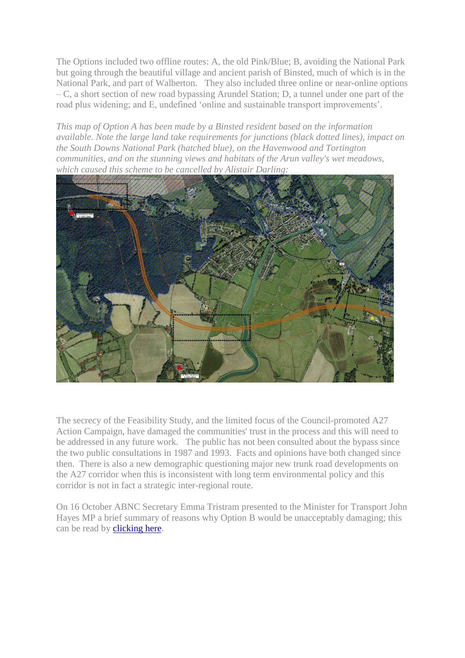The Options included two offline routes: A, the old Pink/Blue; B, avoiding the National Park but going through the beautiful village and ancient parish of Binsted, much of which is in the National Park, and part of Walberton. They also included three online or near-online options – C, a short section of new road bypassing Arundel Station; D, a tunnel under one part of the road plus widening; and E, undefined 'online and sustainable transport improvements'.

*This map of Option A has been made by a Binsted resident based on the information available. Note the large land take requirements for junctions (black dotted lines), impact on the South Downs National Park (hatched blue), on the Havenwood and Tortington communities, and on the stunning views and habitats of the Arun valley's wet meadows, which caused this scheme to be cancelled by Alistair Darling:*



The secrecy of the Feasibility Study, and the limited focus of the Council-promoted A27 Action Campaign, have damaged the communities' trust in the process and this will need to be addressed in any future work. The public has not been consulted about the bypass since the two public consultations in 1987 and 1993. Facts and opinions have both changed since then. There is also a new demographic questioning major new trunk road developments on the A27 corridor when this is inconsistent with long term environmental policy and this corridor is not in fact a strategic inter-regional route.

On 16 October ABNC Secretary Emma Tristram presented to the Minister for Transport John Hayes MP a brief summary of reasons why Option B would be unacceptably damaging; this can be read by [clicking here.](http://arundelneighbourhood.com/uploads/files/statement_to_minister_mtg_re_option_b_damage_to_binsted.pdf)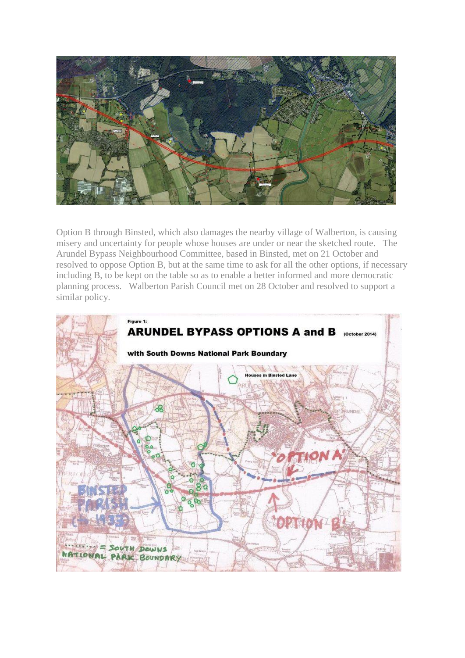

Option B through Binsted, which also damages the nearby village of Walberton, is causing misery and uncertainty for people whose houses are under or near the sketched route. The Arundel Bypass Neighbourhood Committee, based in Binsted, met on 21 October and resolved to oppose Option B, but at the same time to ask for all the other options, if necessary including B, to be kept on the table so as to enable a better informed and more democratic planning process. Walberton Parish Council met on 28 October and resolved to support a similar policy.